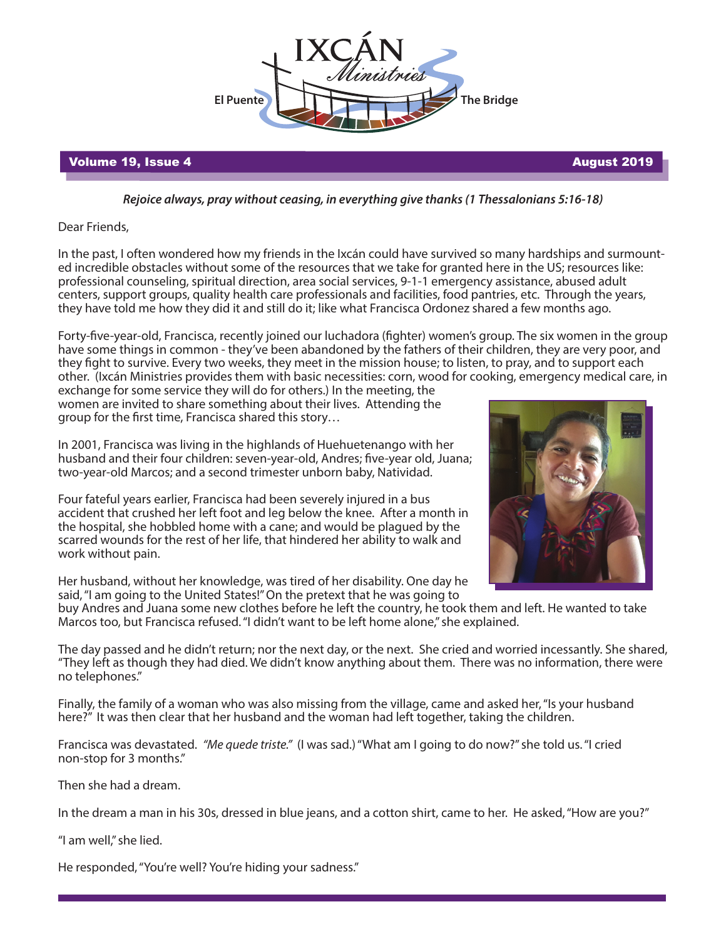

## Volume 19, Issue 4 August 2019

*Rejoice always, pray without ceasing, in everything give thanks (1 Thessalonians 5:16-18)*

Dear Friends,

In the past, I often wondered how my friends in the Ixcán could have survived so many hardships and surmounted incredible obstacles without some of the resources that we take for granted here in the US; resources like: professional counseling, spiritual direction, area social services, 9-1-1 emergency assistance, abused adult centers, support groups, quality health care professionals and facilities, food pantries, etc. Through the years, they have told me how they did it and still do it; like what Francisca Ordonez shared a few months ago.

Forty-five-year-old, Francisca, recently joined our luchadora (fighter) women's group. The six women in the group have some things in common - they've been abandoned by the fathers of their children, they are very poor, and they fight to survive. Every two weeks, they meet in the mission house; to listen, to pray, and to support each other. (Ixcán Ministries provides them with basic necessities: corn, wood for cooking, emergency medical care, in

exchange for some service they will do for others.) In the meeting, the women are invited to share something about their lives. Attending the group for the first time, Francisca shared this story...



In 2001, Francisca was living in the highlands of Huehuetenango with her husband and their four children: seven-year-old, Andres; five-year old, Juana; two-year-old Marcos; and a second trimester unborn baby, Natividad.

Four fateful years earlier, Francisca had been severely injured in a bus accident that crushed her left foot and leg below the knee. After a month in the hospital, she hobbled home with a cane; and would be plagued by the scarred wounds for the rest of her life, that hindered her ability to walk and work without pain.

Her husband, without her knowledge, was tired of her disability. One day he said, "I am going to the United States!" On the pretext that he was going to

buy Andres and Juana some new clothes before he left the country, he took them and left. He wanted to take Marcos too, but Francisca refused. "I didn't want to be left home alone," she explained.

The day passed and he didn't return; nor the next day, or the next. She cried and worried incessantly. She shared, "They left as though they had died. We didn't know anything about them. There was no information, there were no telephones."

Finally, the family of a woman who was also missing from the village, came and asked her, "Is your husband here?" It was then clear that her husband and the woman had left together, taking the children.

Francisca was devastated. *"Me quede triste."* (I was sad.) "What am I going to do now?" she told us. "I cried non-stop for 3 months."

Then she had a dream.

In the dream a man in his 30s, dressed in blue jeans, and a cotton shirt, came to her. He asked, "How are you?"

"I am well," she lied.

He responded, "You're well? You're hiding your sadness."